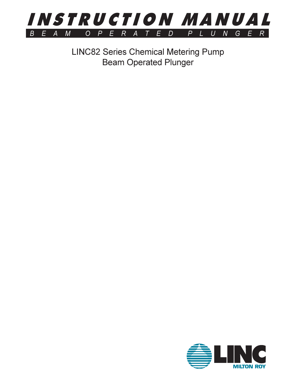

**LINC82 Series Chemical Metering Pump Beam Operated Plunger** 

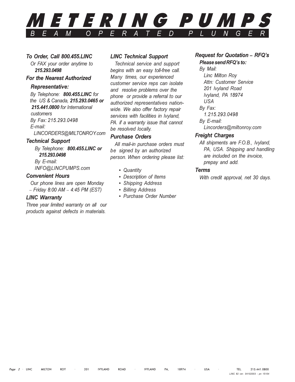### *METERING PUMPS*  $\overline{O}$  $\overline{D}$  $\overline{D}$  $\overline{M}$  $\boldsymbol{P}$ F

### To Order, Call 800.455.LINC

Or FAX your order anytime to 215, 293, 0498

### **For the Nearest Authorized**

### **Representative:**

By Telephone: 800.455.LINC for the US & Canada, 215.293.0465 or 215.441.0800 for International customers By Fax: 215.293.0498 E-mail:

# LINCORDERS@MILTONROY.com

### **Technical Support**

By Telephone: 800.455.LINC or 215.293.0498 By E-mail: INFO@LINCPUMPS.com

### **Convenient Hours**

Our phone lines are open Monday  $-$  Friday 8:00 AM  $-$  4:45 PM (EST)

### **LINC Warranty**

Three year limited warranty on all our products against defects in materials.

### **LINC Technical Support**

Technical service and support begins with an easy toll-free call. Many times, our experienced customer service reps can isolate and resolve problems over the phone or provide a referral to our authorized representatives nationwide. We also offer factory repair services with facilities in Ivyland. PA. if a warranty issue that cannot be resolved locally.

### **Purchase Orders**

All mail-in purchase orders must be signed by an authorized person. When ordering please list:

- Quantity
- Description of Items
- Shipping Address
- Billing Address
- Purchase Order Number

### **Request for Quotation - RFQ's** Please send RFQ's to:

# By Mail:

Linc Milton Roy Attn: Customer Service 201 Ivyland Road Ivyland, PA 18974 USA Bv Fax: 1.215.293.0498 By E-mail: Lincorders@miltonroy.com

### **Freight Charges**

All shipments are F.O.B., Ivyland, PA, USA. Shipping and handling are included on the invoice, prepay and add.

### **Terms**

With credit approval, net 30 days.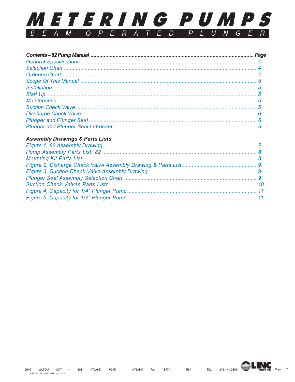

### **Assembly Drawings & Parts Lists**



Page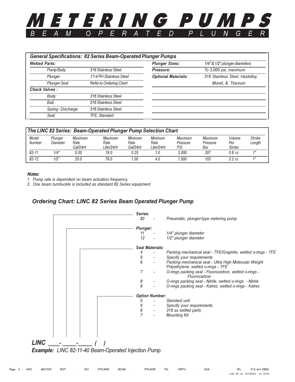### <span id="page-3-0"></span>*TERING PUMP*  $\Omega$  $\boldsymbol{P}$  $\overline{D}$ D М G

| <b>Wetted Parts:</b> |                         | <b>Plunger Sizes:</b>      | 1/4" & 1/2" plunger diameters   |
|----------------------|-------------------------|----------------------------|---------------------------------|
| Pump Body:           | 316 Stainless Steel     | Pressure:                  | To 3,000 psi, maximum           |
| Plunger:             | 17-4 PH Stainless Steel | <b>Optional Materials:</b> | 316 Stainless Steel, Hastelloy, |
| Plunger Seal:        | Refer to Ordering Chart |                            | Monel, & Titanium               |
| <b>Check Valves:</b> |                         |                            |                                 |
| Body:                | 316 Stainless Steel     |                            |                                 |
| Ball:                | 316 Stainless Steel     |                            |                                 |
| Spring - Discharge:  | 316 Stainless Steel     |                            |                                 |
| Seat:                | TFE, Standard           |                            |                                 |

| The LINC 82 Series: Beam-Operated Plunger Pump Selection Chart |                     |                             |                                      |                                    |                                      |                                   |                            |                                |                         |
|----------------------------------------------------------------|---------------------|-----------------------------|--------------------------------------|------------------------------------|--------------------------------------|-----------------------------------|----------------------------|--------------------------------|-------------------------|
| Model<br>Number                                                | Plunger<br>Diameter | Maximum<br>Rate<br>Gal/24Hr | <b>Maximum</b><br>Rate<br>Liter/24Hr | <b>Minimum</b><br>Rate<br>Gal/24Hr | <b>Minimum</b><br>Rate<br>Liter/24Hr | <b>Maximum</b><br>Pressure<br>PSI | Maximum<br>Pressure<br>Bar | Volume<br>Per<br><b>Stroke</b> | <b>Stroke</b><br>Length |
| $82 - 11$                                                      | 1/4"                | 5.00                        | 19.0                                 | 0.25                               | 1.0                                  | 3.000                             | 207                        | $0.8$ $cc$                     | 4 <sub>II</sub>         |
| $82 - 12$                                                      | 1/2"                | 20.0                        | 76.0                                 | 00،،                               | 4.0                                  | .500                              | 103                        | $3.2\,cc$                      | $\overline{AB}$         |

### Notes:

1. Pump rate is dependent on beam actuation frequency.

2. One beam turnbuckle is included as standard 82 Series equipment.

### **Ordering Chart: LINC 82 Series Beam Operated Plunger Pump**

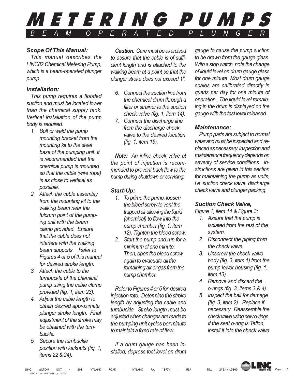<span id="page-4-0"></span>

### **Scope Of This Manual:**

This manual describes the **LINC82 Chemical Metering Pump.** which is a beam-operated plunger pump.

### Installation:

This pump requires a flooded suction and must be located lower than the chemical supply tank. Vertical installation of the pump body is required.

- 1. Bolt or weld the pump mounting bracket from the mounting kit to the steel base of the pumping unit. It is recommended that the chemical pump is mounted so that the cable (wire rope) is as close to vertical as possible.
- 2. Attach the cable assembly from the mounting kit to the walking beam near the fulcrum point of the pumping unit with the beam clamp provided. Ensure that the cable does not interfere with the walking beam supports. Refer to Figures 4 or 5 of this manual for desired stroke length.
- 3. Attach the cable to the turnbuckle of the chemical pump using the cable clamp provided (fig. 1, item 23).
- 4. Adjust the cable length to obtain desired approximate plunger stroke length. Final adjustment of the stroke may be obtained with the turnbuckle.
- 5. Secure the turnbuckle position with locknuts (fig. 1, *items* 22 & 24).

**Caution:** Care must be exercised to assure that the cable is of sufficient length and is attached to the walking beam at a point so that the plunger stroke does not exceed 1".

- 6. Connect the suction line from the chemical drum through a filter or strainer to the suction check valve (fig. 1, item 14).
- 7. Connect the discharge line from the discharge check valve to the desired location (fig. 1, item 15).

Note: An inline check valve at the point of injection is recommended to prevent back flow to the pump during shutdown or servicing.

### Start-Up:

- 1. To prime the pump, loosen the bleed screw to vent the trapped air allowing the liquid (chemical) to flow into the pump chamber (fig. 1, item 12). Tighten the bleed screw.
- 2. Start the pump and run for a minimum of one minute. Then, open the bleed screw again to evacuate all the remaining air or gas from the pump chamber.

Refer to Figures 4 or 5 for desired injection rate. Determine the stroke length by adjusting the cable and turnbuckle. Stroke length must be adjusted when changes are made to the pumping unit cycles per minute to maintain a fixed rate of flow.

If a drum gauge has been installed, depress test level on drum gauge to cause the pump suction to be drawn from the gauge glass. With a stop watch, note the change of liquid level on drum gauge glass for one minute. Most drum gauge scales are calibrated directly in quarts per day for one minute of operation. The liquid level remaining in the drum is displayed on the gauge with the test level released.

### **Maintenance:**

Pump parts are subject to normal wear and must be inspected and replaced as necessary. Inspection and maintenance frequency depends on severity of service conditions. Instructions are given in this section for maintaining the pump as units; i.e. suction check valve, discharge check valve and plunger packing.

## **Suction Check Valve,**

Figure 1, item 14 & Figure 3:

- 1. Assure that the pump is isolated from the rest of the system.
- 2. Disconnect the piping from the check valve.
- 3. Unscrew the check valve body (fig. 3, item 1) from the pump lower housing (fig. 1, item  $13$ ).
- 4. Remove and discard the o-rings (fig. 3, items  $3 \& 4$ ).
- 5. Inspect the ball for damage (fig. 3, item 2). Replace if necessary. Reassemble the check valve using new o-rings. If the seat o-ring is Teflon, install it into the check valve

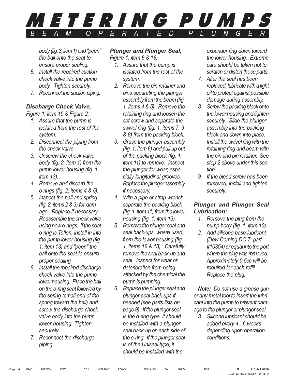<span id="page-5-0"></span>

body (fig. 3, item 1) and "peen" the ball onto the seat to ensure proper sealing.

- 6. Install the repaired suction check valve into the pump body. Tighten securely.
- 7. Reconnect the suction piping.

### **Discharge Check Valve,**

Figure 1, item 15 & Figure 2:

- 1. Assure that the pump is isolated from the rest of the system.
- 2. Disconnect the piping from the check valve.
- 3. Unscrew the check valve body (fig. 2, item 1) from the pump lower housing (fig. 1, *item* 13).
- 4. Remove and discard the o-rings (fig. 2, items 4 & 5).
- 5. Inspect the ball and spring (fig. 2, items  $2 & 3$ ) for damage. Replace if necessary. Reassemble the check valve using new o-rings. If the seat o-ring is Teflon, install in into the pump lower housing (fig. 1. item 13) and "peen" the ball onto the seat to ensure proper sealing.
- 6. Install the repaired discharge check valve into the pump lower housing. Place the ball on the o-ring seat followed by the spring (small end of the spring toward the ball) and screw the discharge check valve body into the pump lower housing. Tighten securely.
- 7. Reconnect the discharge piping.

## **Plunger and Plunger Seal,**

Figure 1, item 6 & 16:

- 1. Assure that the pump is isolated from the rest of the svstem.
- 2. Remove the pin retainer and pins separating the plunger assembly from the beam (fig. 1. items 4 & 5). Remove the retaining ring and loosen the set screw and separate the swivel ring (fig. 1, items 7, 9 & 8) from the packing block.
- 3. Grasp the plunger assembly (fig. 1, item 6) and pull up out of the packing block (fig. 1, item 11) to remove. Inspect the plunger for wear, especially longitudinal grooves. Replace the plunger assembly if necessary.
- 4. With a pipe or strap wrench separate the packing block (fig. 1, item 11) from the lower housing (fig. 1, item 13).
- 5. Remove the plunger seal and seal back-ups, where used, from the lower housing (fig. 1, items 16 & 13). Carefully remove the seal back-up and seal. Inspect for wear or deterioration from being attacked by the chemical the pump is pumping.
- 6. Replace the plunger seal and plunger seal back-ups if needed (see parts lists on page 9). If the plunger seal is the o-ring type, it should be installed with a plunger seal back-up on each side of the o-ring. If the plunger seal is of the Uniseal type, it should be installed with the

expander ring down toward the lower housing. Extreme care should be taken not to scratch or distort these parts.

- 7. After the seal has been replaced, lubricate with a light oil to protect against possible damage during assembly.
- 8. Screw the packing block onto the lower housing and tighten securely. Slide the plunger assembly into the packing block and down into place. Install the swivel ring with the retaining ring and beam with the pin and pin retainer. See step 2 above under this section
- 9. If the bleed screw has been removed, install and tighten securely.

## **Plunger and Plunger Seal** Lubrication:

- 1. Remove the plug from the pump body (fig. 1, item 10).
- 2. Add silicone base lubricant (Dow Corning DC-7, part #10354) or equal into the port where the plug was removed. Approximately 0.5cc will be required for each refill. Replace the plug.

Note: Do not use a grease gun or any metal tool to insert the lubricant into the pump to prevent damage to the plunger or plunger seal.

3. Silicone lubricant should be added every 4 - 6 weeks depending upon operation conditions.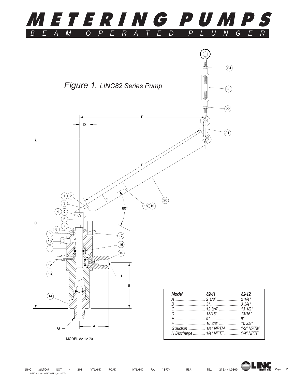<span id="page-6-0"></span>



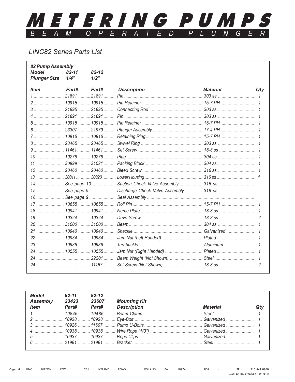### <span id="page-7-0"></span>METERING PUMPS  $\overline{R}$  $\overline{A}$  $\overline{D}$  $\overline{P}$  $\overline{I}$  $\overline{A}$  $\overline{P}$  $\overline{M}$  $\overline{M}$  $\overline{O}$  $E$  $\overline{11}$ G  $\overline{B}$  $E$ E  $\overline{R}$ F  $\tau$

# **LINC82 Series Parts List**

| 82 Pump Assembly<br><b>Model</b><br><b>Plunger Size</b> | $82 - 11$<br>1/4" | $82 - 12$<br>1/2" |                    |                 |              |
|---------------------------------------------------------|-------------------|-------------------|--------------------|-----------------|--------------|
| <b>Item</b>                                             | Part#             | Part#             | <b>Description</b> | <b>Material</b> | Qty          |
|                                                         |                   |                   |                    |                 | $\mathcal I$ |
|                                                         |                   |                   |                    |                 |              |
|                                                         |                   |                   |                    |                 |              |
|                                                         |                   |                   |                    |                 |              |
|                                                         |                   |                   |                    |                 |              |
|                                                         |                   |                   |                    |                 |              |
|                                                         |                   |                   |                    |                 |              |
|                                                         |                   |                   |                    |                 |              |
|                                                         |                   |                   |                    |                 |              |
|                                                         |                   |                   |                    |                 |              |
|                                                         |                   |                   |                    |                 |              |
|                                                         |                   |                   |                    |                 |              |
|                                                         |                   |                   |                    |                 |              |
|                                                         |                   |                   |                    |                 |              |
|                                                         |                   |                   |                    |                 |              |
|                                                         |                   |                   |                    |                 |              |
|                                                         |                   |                   |                    |                 |              |
|                                                         |                   |                   |                    |                 |              |
|                                                         |                   |                   |                    |                 |              |
|                                                         |                   |                   |                    |                 |              |
|                                                         |                   |                   |                    |                 |              |
|                                                         |                   |                   |                    |                 |              |
|                                                         |                   |                   |                    |                 |              |
|                                                         |                   |                   |                    |                 |              |
|                                                         |                   |                   |                    |                 |              |
|                                                         |                   |                   |                    |                 |              |

| Model<br>Assembly | 82-11<br>23423 | $82 - 12$<br>23607 | <b>Mounting Kit</b><br>Item Part# Part# Description | <i><b>Material</b></i> |  |
|-------------------|----------------|--------------------|-----------------------------------------------------|------------------------|--|
|                   |                |                    |                                                     |                        |  |
|                   |                |                    |                                                     |                        |  |
|                   |                |                    |                                                     |                        |  |
|                   |                |                    |                                                     |                        |  |
|                   |                |                    |                                                     |                        |  |
|                   |                |                    |                                                     |                        |  |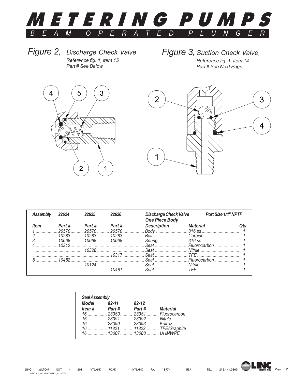<span id="page-8-0"></span>

Figure 2, Discharge Check Valve Reference fig. 1, item 15 Part # See Below

Figure 3, Suction Check Valve,

Reference fig. 1, item 14 Part # See Next Page





| Assembly    | 22624  | 22625  | 22626  | <b>Discharge Check Valve</b><br><b>One Piece Body</b>                                                                                                                                                                                                             |                                                                                                                                                                                                                               | Port Size 1/4" NPTF |
|-------------|--------|--------|--------|-------------------------------------------------------------------------------------------------------------------------------------------------------------------------------------------------------------------------------------------------------------------|-------------------------------------------------------------------------------------------------------------------------------------------------------------------------------------------------------------------------------|---------------------|
| <b>Item</b> | Part # | Part # | Part # | <b>Description</b>                                                                                                                                                                                                                                                | <b>Material</b>                                                                                                                                                                                                               |                     |
|             | 20570  | 20570  | 20570  |                                                                                                                                                                                                                                                                   |                                                                                                                                                                                                                               |                     |
|             | 10283  | 10283  | 10283  | <u>Garbide</u>                                                                                                                                                                                                                                                    |                                                                                                                                                                                                                               |                     |
|             |        |        |        | 10068 10068 10068 Spring 316 ss                                                                                                                                                                                                                                   |                                                                                                                                                                                                                               |                     |
|             | 10312  |        |        | $S$ eat $S$ eat $H$ un $H$ un $H$ un $H$ un $H$ un $H$ un $H$ un $H$ un $H$ un $H$ un $H$ un $H$ un $H$ un $H$ un $H$ un $H$ un $H$ un $H$ un $H$ un $H$ un $H$ un $H$ un $H$ un $H$ un $H$ un $H$ un $H$ un $H$ un $H$ un $H$ un $H$ un $H$ un $H$ un $H$ un $H$ |                                                                                                                                                                                                                               |                     |
|             |        |        |        |                                                                                                                                                                                                                                                                   |                                                                                                                                                                                                                               |                     |
|             |        |        | 10317  |                                                                                                                                                                                                                                                                   | Seat TFF TERROR Seat Seat Assessment of the Territory of the Seat Assessment of the Seat Assessment of the Seat Assessment of the Seat Assessment of the Seat Assessment of the Seat Assessment of the Seat Assessment of the |                     |
|             | 10482  |        |        |                                                                                                                                                                                                                                                                   |                                                                                                                                                                                                                               |                     |
|             |        |        |        | <u>20124 Seal Witrile Nitrile</u> Nitrile                                                                                                                                                                                                                         |                                                                                                                                                                                                                               |                     |
|             |        |        |        |                                                                                                                                                                                                                                                                   |                                                                                                                                                                                                                               |                     |

| Model 82-11 |                      | 82-12                     |                             |
|-------------|----------------------|---------------------------|-----------------------------|
|             | <i>Item</i> # Part # | Part #                    | <b>Material</b>             |
|             |                      |                           | 16 23350 23351 Fluorocarbon |
|             |                      | 16  23391  23392  Nitrile |                             |
|             |                      | 16  23390  23393  Kalrez  |                             |
|             |                      |                           |                             |
|             |                      |                           | 16 13007 13008 UHMWPE       |

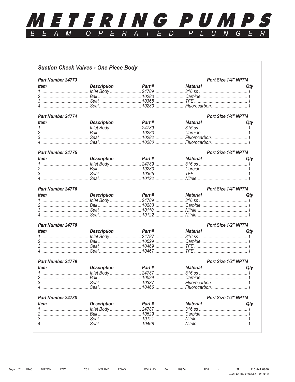### <span id="page-9-0"></span><u>METERING PUMPS</u>  $\overline{A}$  $\overline{A}$  $\overline{P}$  $\overline{L}$  $\overline{E}$  $\overline{M}$  $\overline{O}$  $\overline{P}$  $\overline{R}$  $\overline{E}$  $\overline{D}$  $\overline{U}$  $\overline{N}$  $B$  $E$  $G$  $\overline{E}$  $R<sub>1</sub>$  $\overline{T}$

| <b>Part Number 24773</b> |                    |        |                 | Port Size 1/4" NPTM |
|--------------------------|--------------------|--------|-----------------|---------------------|
| <i>ltem</i>              | <b>Description</b> | Part#  | Material        | Qty                 |
|                          |                    |        |                 |                     |
|                          |                    |        |                 |                     |
|                          |                    |        |                 |                     |
|                          |                    |        |                 |                     |
|                          |                    |        |                 |                     |
| <b>Part Number 24774</b> |                    |        |                 | Port Size 1/4" NPTM |
| <b>Item</b>              | <b>Description</b> | Part # | Material        | Qty                 |
|                          |                    |        |                 |                     |
|                          |                    |        |                 |                     |
|                          |                    |        |                 |                     |
|                          |                    |        |                 |                     |
|                          |                    |        |                 |                     |
| Part Number 24775        |                    |        |                 | Port Size 1/4" NPTM |
| <b>Item</b>              | <b>Description</b> | Part # | Material        | Qty                 |
|                          |                    |        |                 |                     |
|                          |                    |        |                 |                     |
|                          |                    |        |                 |                     |
|                          |                    |        |                 |                     |
|                          |                    |        |                 |                     |
| Part Number 24776        |                    |        |                 | Port Size 1/4" NPTM |
| ltem                     | <b>Description</b> | Part # | Material        | Qty                 |
|                          |                    |        |                 |                     |
|                          |                    |        |                 |                     |
|                          |                    |        |                 |                     |
|                          |                    |        |                 |                     |
|                          |                    |        |                 |                     |
| <b>Part Number 24778</b> |                    |        |                 | Port Size 1/2" NPTM |
| <b>Item</b>              | <b>Description</b> | Part # | <b>Material</b> | Qtv                 |
|                          |                    |        |                 |                     |
|                          |                    |        |                 |                     |
|                          |                    |        |                 |                     |
|                          |                    |        |                 |                     |
|                          |                    |        |                 |                     |
| <b>Part Number 24779</b> |                    |        |                 | Port Size 1/2" NPTM |
| <b>Item</b>              | <b>Description</b> | Part # | <b>Material</b> | Qty                 |
|                          |                    |        |                 |                     |
|                          |                    |        |                 |                     |
|                          |                    |        |                 |                     |
|                          |                    |        |                 |                     |
|                          |                    |        |                 |                     |
| Part Number 24780        |                    |        |                 | Port Size 1/2" NPTM |
| <b>Item</b>              | <b>Description</b> | Part#  | <b>Material</b> | Qty                 |
|                          |                    |        |                 |                     |
|                          |                    |        |                 |                     |
|                          |                    |        |                 |                     |
|                          |                    |        |                 |                     |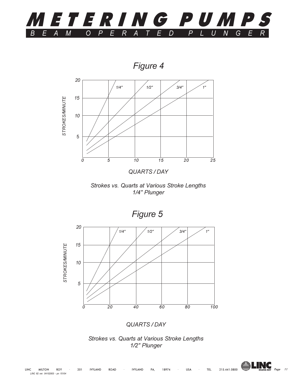<span id="page-10-0"></span>

Figure 4





Figure 5



QUARTS / DAY





 $\overline{11}$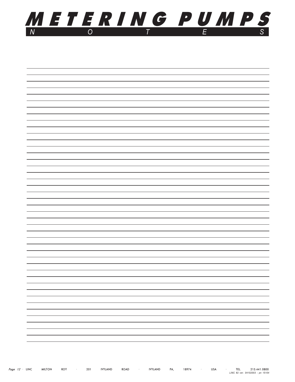

| - |
|---|
| — |
| - |
| — |
|   |
| — |
| - |
| - |
| — |
| — |
| — |
|   |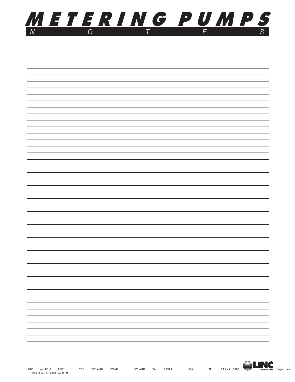

| $\overline{\phantom{0}}$ |
|--------------------------|
| —                        |
| —                        |
| —                        |
| $\overline{\phantom{0}}$ |
| -                        |
| $\overline{\phantom{0}}$ |
| -                        |
| —                        |
|                          |
| -                        |